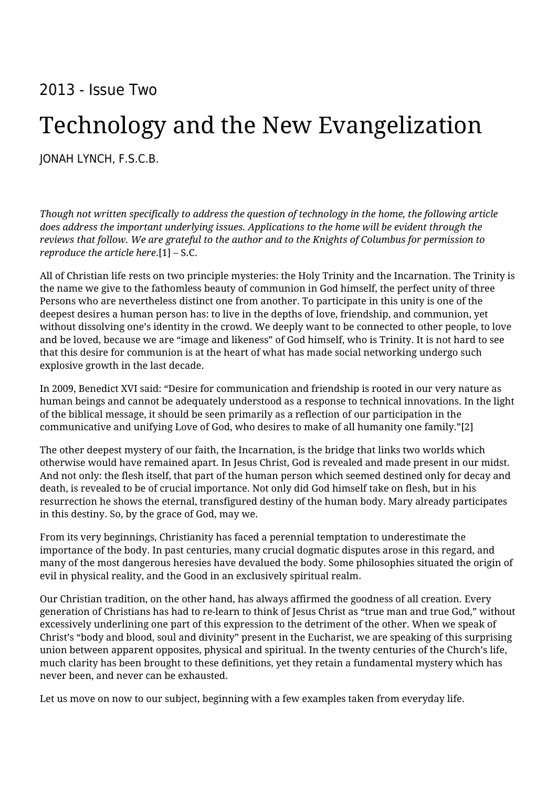# 2013 - Issue Two

# Technology and the New Evangelization

[JONAH LYNCH, F.S.C.B.](https://humanumreview.com/contributors/jonah-lynch)

*Though not written specifically to address the question of technology in the home, the following article does address the important underlying issues. Applications to the home will be evident through the reviews that follow. We are grateful to the author and to the Knights of Columbus for permission to reproduce the article here*.[1] – S.C.

All of Christian life rests on two principle mysteries: the Holy Trinity and the Incarnation. The Trinity is the name we give to the fathomless beauty of communion in God himself, the perfect unity of three Persons who are nevertheless distinct one from another. To participate in this unity is one of the deepest desires a human person has: to live in the depths of love, friendship, and communion, yet without dissolving one's identity in the crowd. We deeply want to be connected to other people, to love and be loved, because we are "image and likeness" of God himself, who is Trinity. It is not hard to see that this desire for communion is at the heart of what has made social networking undergo such explosive growth in the last decade.

In 2009, Benedict XVI said: "Desire for communication and friendship is rooted in our very nature as human beings and cannot be adequately understood as a response to technical innovations. In the light of the biblical message, it should be seen primarily as a reflection of our participation in the communicative and unifying Love of God, who desires to make of all humanity one family."[2]

The other deepest mystery of our faith, the Incarnation, is the bridge that links two worlds which otherwise would have remained apart. In Jesus Christ, God is revealed and made present in our midst. And not only: the flesh itself, that part of the human person which seemed destined only for decay and death, is revealed to be of crucial importance. Not only did God himself take on flesh, but in his resurrection he shows the eternal, transfigured destiny of the human body. Mary already participates in this destiny. So, by the grace of God, may we.

From its very beginnings, Christianity has faced a perennial temptation to underestimate the importance of the body. In past centuries, many crucial dogmatic disputes arose in this regard, and many of the most dangerous heresies have devalued the body. Some philosophies situated the origin of evil in physical reality, and the Good in an exclusively spiritual realm.

Our Christian tradition, on the other hand, has always affirmed the goodness of all creation. Every generation of Christians has had to re-learn to think of Jesus Christ as "true man and true God," without excessively underlining one part of this expression to the detriment of the other. When we speak of Christ's "body and blood, soul and divinity" present in the Eucharist, we are speaking of this surprising union between apparent opposites, physical and spiritual. In the twenty centuries of the Church's life, much clarity has been brought to these definitions, yet they retain a fundamental mystery which has never been, and never can be exhausted.

Let us move on now to our subject, beginning with a few examples taken from everyday life.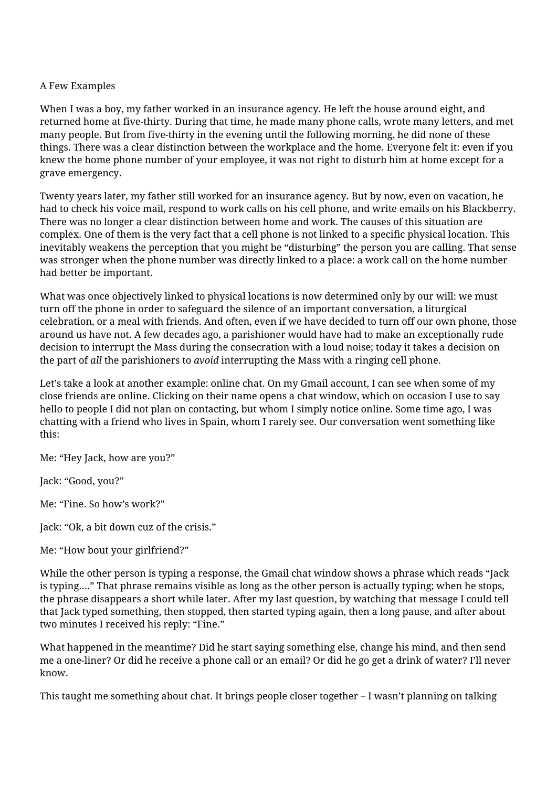## A Few Examples

When I was a boy, my father worked in an insurance agency. He left the house around eight, and returned home at five-thirty. During that time, he made many phone calls, wrote many letters, and met many people. But from five-thirty in the evening until the following morning, he did none of these things. There was a clear distinction between the workplace and the home. Everyone felt it: even if you knew the home phone number of your employee, it was not right to disturb him at home except for a grave emergency.

Twenty years later, my father still worked for an insurance agency. But by now, even on vacation, he had to check his voice mail, respond to work calls on his cell phone, and write emails on his Blackberry. There was no longer a clear distinction between home and work. The causes of this situation are complex. One of them is the very fact that a cell phone is not linked to a specific physical location. This inevitably weakens the perception that you might be "disturbing" the person you are calling. That sense was stronger when the phone number was directly linked to a place: a work call on the home number had better be important.

What was once objectively linked to physical locations is now determined only by our will: we must turn off the phone in order to safeguard the silence of an important conversation, a liturgical celebration, or a meal with friends. And often, even if we have decided to turn off our own phone, those around us have not. A few decades ago, a parishioner would have had to make an exceptionally rude decision to interrupt the Mass during the consecration with a loud noise; today it takes a decision on the part of *all* the parishioners to *avoid* interrupting the Mass with a ringing cell phone.

Let's take a look at another example: online chat. On my Gmail account, I can see when some of my close friends are online. Clicking on their name opens a chat window, which on occasion I use to say hello to people I did not plan on contacting, but whom I simply notice online. Some time ago, I was chatting with a friend who lives in Spain, whom I rarely see. Our conversation went something like this:

Me: "Hey Jack, how are you?"

Jack: "Good, you?"

Me: "Fine. So how's work?"

Jack: "Ok, a bit down cuz of the crisis."

Me: "How bout your girlfriend?"

While the other person is typing a response, the Gmail chat window shows a phrase which reads "Jack is typing...." That phrase remains visible as long as the other person is actually typing; when he stops, the phrase disappears a short while later. After my last question, by watching that message I could tell that Jack typed something, then stopped, then started typing again, then a long pause, and after about two minutes I received his reply: "Fine."

What happened in the meantime? Did he start saying something else, change his mind, and then send me a one-liner? Or did he receive a phone call or an email? Or did he go get a drink of water? I'll never know.

This taught me something about chat. It brings people closer together – I wasn't planning on talking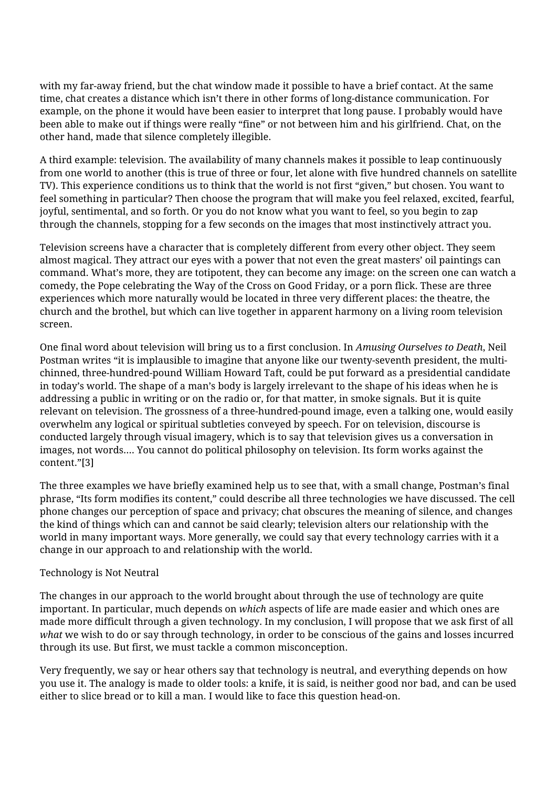with my far-away friend, but the chat window made it possible to have a brief contact. At the same time, chat creates a distance which isn't there in other forms of long-distance communication. For example, on the phone it would have been easier to interpret that long pause. I probably would have been able to make out if things were really "fine" or not between him and his girlfriend. Chat, on the other hand, made that silence completely illegible.

A third example: television. The availability of many channels makes it possible to leap continuously from one world to another (this is true of three or four, let alone with five hundred channels on satellite TV). This experience conditions us to think that the world is not first "given," but chosen. You want to feel something in particular? Then choose the program that will make you feel relaxed, excited, fearful, joyful, sentimental, and so forth. Or you do not know what you want to feel, so you begin to zap through the channels, stopping for a few seconds on the images that most instinctively attract you.

Television screens have a character that is completely different from every other object. They seem almost magical. They attract our eyes with a power that not even the great masters' oil paintings can command. What's more, they are totipotent, they can become any image: on the screen one can watch a comedy, the Pope celebrating the Way of the Cross on Good Friday, or a porn flick. These are three experiences which more naturally would be located in three very different places: the theatre, the church and the brothel, but which can live together in apparent harmony on a living room television screen.

One final word about television will bring us to a first conclusion. In *Amusing Ourselves to Death*, Neil Postman writes "it is implausible to imagine that anyone like our twenty-seventh president, the multichinned, three-hundred-pound William Howard Taft, could be put forward as a presidential candidate in today's world. The shape of a man's body is largely irrelevant to the shape of his ideas when he is addressing a public in writing or on the radio or, for that matter, in smoke signals. But it is quite relevant on television. The grossness of a three-hundred-pound image, even a talking one, would easily overwhelm any logical or spiritual subtleties conveyed by speech. For on television, discourse is conducted largely through visual imagery, which is to say that television gives us a conversation in images, not words.... You cannot do political philosophy on television. Its form works against the content."[3]

The three examples we have briefly examined help us to see that, with a small change, Postman's final phrase, "Its form modifies its content," could describe all three technologies we have discussed. The cell phone changes our perception of space and privacy; chat obscures the meaning of silence, and changes the kind of things which can and cannot be said clearly; television alters our relationship with the world in many important ways. More generally, we could say that every technology carries with it a change in our approach to and relationship with the world.

# Technology is Not Neutral

The changes in our approach to the world brought about through the use of technology are quite important. In particular, much depends on *which* aspects of life are made easier and which ones are made more difficult through a given technology. In my conclusion, I will propose that we ask first of all *what* we wish to do or say through technology, in order to be conscious of the gains and losses incurred through its use. But first, we must tackle a common misconception.

Very frequently, we say or hear others say that technology is neutral, and everything depends on how you use it. The analogy is made to older tools: a knife, it is said, is neither good nor bad, and can be used either to slice bread or to kill a man. I would like to face this question head-on.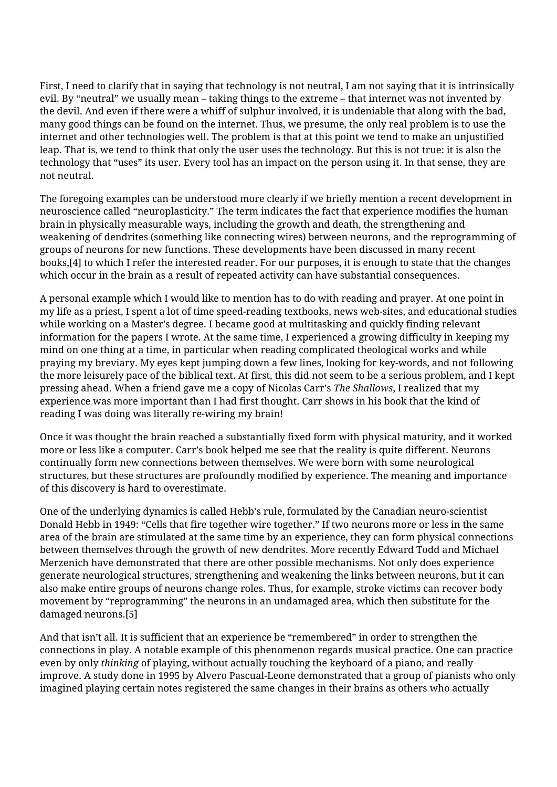First, I need to clarify that in saying that technology is not neutral, I am not saying that it is intrinsically evil. By "neutral" we usually mean – taking things to the extreme – that internet was not invented by the devil. And even if there were a whiff of sulphur involved, it is undeniable that along with the bad, many good things can be found on the internet. Thus, we presume, the only real problem is to use the internet and other technologies well. The problem is that at this point we tend to make an unjustified leap. That is, we tend to think that only the user uses the technology. But this is not true: it is also the technology that "uses" its user. Every tool has an impact on the person using it. In that sense, they are not neutral.

The foregoing examples can be understood more clearly if we briefly mention a recent development in neuroscience called "neuroplasticity." The term indicates the fact that experience modifies the human brain in physically measurable ways, including the growth and death, the strengthening and weakening of dendrites (something like connecting wires) between neurons, and the reprogramming of groups of neurons for new functions. These developments have been discussed in many recent books,[4] to which I refer the interested reader. For our purposes, it is enough to state that the changes which occur in the brain as a result of repeated activity can have substantial consequences.

A personal example which I would like to mention has to do with reading and prayer. At one point in my life as a priest, I spent a lot of time speed-reading textbooks, news web-sites, and educational studies while working on a Master's degree. I became good at multitasking and quickly finding relevant information for the papers I wrote. At the same time, I experienced a growing difficulty in keeping my mind on one thing at a time, in particular when reading complicated theological works and while praying my breviary. My eyes kept jumping down a few lines, looking for key-words, and not following the more leisurely pace of the biblical text. At first, this did not seem to be a serious problem, and I kept pressing ahead. When a friend gave me a copy of Nicolas Carr's *The Shallows*, I realized that my experience was more important than I had first thought. Carr shows in his book that the kind of reading I was doing was literally re-wiring my brain!

Once it was thought the brain reached a substantially fixed form with physical maturity, and it worked more or less like a computer. Carr's book helped me see that the reality is quite different. Neurons continually form new connections between themselves. We were born with some neurological structures, but these structures are profoundly modified by experience. The meaning and importance of this discovery is hard to overestimate.

One of the underlying dynamics is called Hebb's rule, formulated by the Canadian neuro-scientist Donald Hebb in 1949: "Cells that fire together wire together." If two neurons more or less in the same area of the brain are stimulated at the same time by an experience, they can form physical connections between themselves through the growth of new dendrites. More recently Edward Todd and Michael Merzenich have demonstrated that there are other possible mechanisms. Not only does experience generate neurological structures, strengthening and weakening the links between neurons, but it can also make entire groups of neurons change roles. Thus, for example, stroke victims can recover body movement by "reprogramming" the neurons in an undamaged area, which then substitute for the damaged neurons.[5]

And that isn't all. It is sufficient that an experience be "remembered" in order to strengthen the connections in play. A notable example of this phenomenon regards musical practice. One can practice even by only *thinking* of playing, without actually touching the keyboard of a piano, and really improve. A study done in 1995 by Alvero Pascual-Leone demonstrated that a group of pianists who only imagined playing certain notes registered the same changes in their brains as others who actually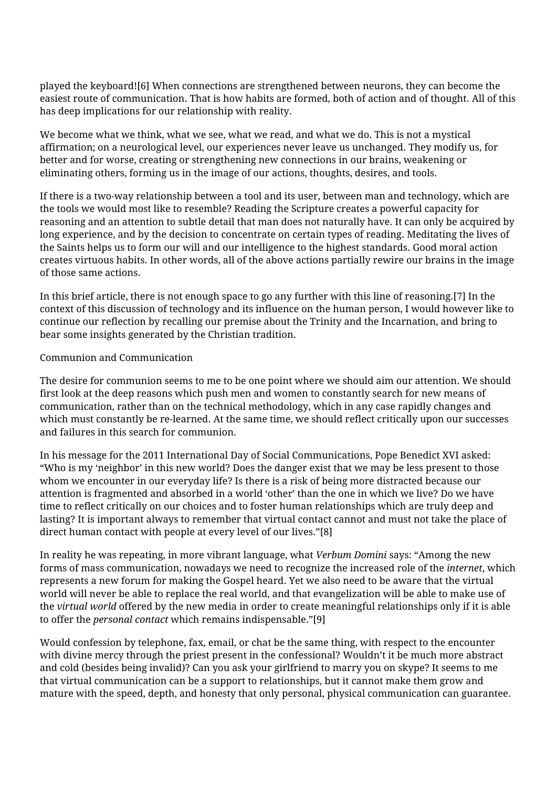played the keyboard![6] When connections are strengthened between neurons, they can become the easiest route of communication. That is how habits are formed, both of action and of thought. All of this has deep implications for our relationship with reality.

We become what we think, what we see, what we read, and what we do. This is not a mystical affirmation; on a neurological level, our experiences never leave us unchanged. They modify us, for better and for worse, creating or strengthening new connections in our brains, weakening or eliminating others, forming us in the image of our actions, thoughts, desires, and tools.

If there is a two-way relationship between a tool and its user, between man and technology, which are the tools we would most like to resemble? Reading the Scripture creates a powerful capacity for reasoning and an attention to subtle detail that man does not naturally have. It can only be acquired by long experience, and by the decision to concentrate on certain types of reading. Meditating the lives of the Saints helps us to form our will and our intelligence to the highest standards. Good moral action creates virtuous habits. In other words, all of the above actions partially rewire our brains in the image of those same actions.

In this brief article, there is not enough space to go any further with this line of reasoning.[7] In the context of this discussion of technology and its influence on the human person, I would however like to continue our reflection by recalling our premise about the Trinity and the Incarnation, and bring to bear some insights generated by the Christian tradition.

### Communion and Communication

The desire for communion seems to me to be one point where we should aim our attention. We should first look at the deep reasons which push men and women to constantly search for new means of communication, rather than on the technical methodology, which in any case rapidly changes and which must constantly be re-learned. At the same time, we should reflect critically upon our successes and failures in this search for communion.

In his message for the 2011 International Day of Social Communications, Pope Benedict XVI asked: "Who is my 'neighbor' in this new world? Does the danger exist that we may be less present to those whom we encounter in our everyday life? Is there is a risk of being more distracted because our attention is fragmented and absorbed in a world 'other' than the one in which we live? Do we have time to reflect critically on our choices and to foster human relationships which are truly deep and lasting? It is important always to remember that virtual contact cannot and must not take the place of direct human contact with people at every level of our lives."[8]

In reality he was repeating, in more vibrant language, what *Verbum Domini* says: "Among the new forms of mass communication, nowadays we need to recognize the increased role of the *internet*, which represents a new forum for making the Gospel heard. Yet we also need to be aware that the virtual world will never be able to replace the real world, and that evangelization will be able to make use of the *virtual world* offered by the new media in order to create meaningful relationships only if it is able to offer the *personal contact* which remains indispensable."[9]

Would confession by telephone, fax, email, or chat be the same thing, with respect to the encounter with divine mercy through the priest present in the confessional? Wouldn't it be much more abstract and cold (besides being invalid)? Can you ask your girlfriend to marry you on skype? It seems to me that virtual communication can be a support to relationships, but it cannot make them grow and mature with the speed, depth, and honesty that only personal, physical communication can guarantee.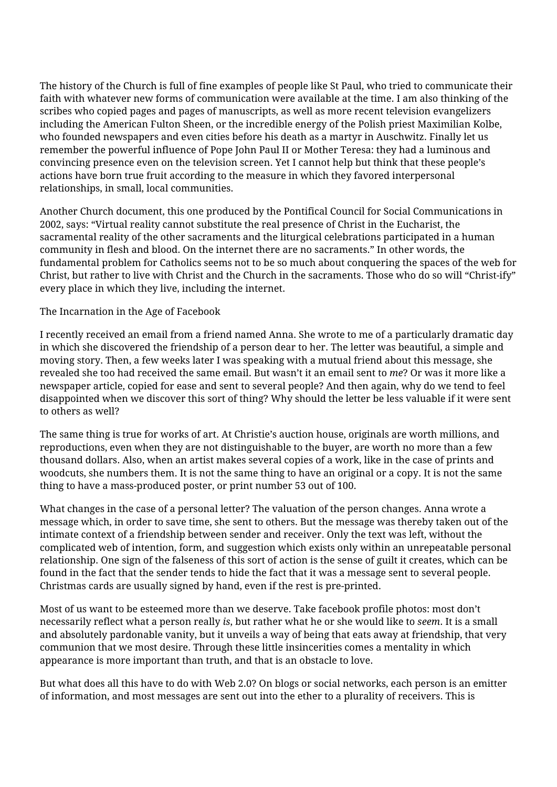The history of the Church is full of fine examples of people like St Paul, who tried to communicate their faith with whatever new forms of communication were available at the time. I am also thinking of the scribes who copied pages and pages of manuscripts, as well as more recent television evangelizers including the American Fulton Sheen, or the incredible energy of the Polish priest Maximilian Kolbe, who founded newspapers and even cities before his death as a martyr in Auschwitz. Finally let us remember the powerful influence of Pope John Paul II or Mother Teresa: they had a luminous and convincing presence even on the television screen. Yet I cannot help but think that these people's actions have born true fruit according to the measure in which they favored interpersonal relationships, in small, local communities.

Another Church document, this one produced by the Pontifical Council for Social Communications in 2002, says: "Virtual reality cannot substitute the real presence of Christ in the Eucharist, the sacramental reality of the other sacraments and the liturgical celebrations participated in a human community in flesh and blood. On the internet there are no sacraments." In other words, the fundamental problem for Catholics seems not to be so much about conquering the spaces of the web for Christ, but rather to live with Christ and the Church in the sacraments. Those who do so will "Christ-ify" every place in which they live, including the internet.

The Incarnation in the Age of Facebook

I recently received an email from a friend named Anna. She wrote to me of a particularly dramatic day in which she discovered the friendship of a person dear to her. The letter was beautiful, a simple and moving story. Then, a few weeks later I was speaking with a mutual friend about this message, she revealed she too had received the same email. But wasn't it an email sent to *me*? Or was it more like a newspaper article, copied for ease and sent to several people? And then again, why do we tend to feel disappointed when we discover this sort of thing? Why should the letter be less valuable if it were sent to others as well?

The same thing is true for works of art. At Christie's auction house, originals are worth millions, and reproductions, even when they are not distinguishable to the buyer, are worth no more than a few thousand dollars. Also, when an artist makes several copies of a work, like in the case of prints and woodcuts, she numbers them. It is not the same thing to have an original or a copy. It is not the same thing to have a mass-produced poster, or print number 53 out of 100.

What changes in the case of a personal letter? The valuation of the person changes. Anna wrote a message which, in order to save time, she sent to others. But the message was thereby taken out of the intimate context of a friendship between sender and receiver. Only the text was left, without the complicated web of intention, form, and suggestion which exists only within an unrepeatable personal relationship. One sign of the falseness of this sort of action is the sense of guilt it creates, which can be found in the fact that the sender tends to hide the fact that it was a message sent to several people. Christmas cards are usually signed by hand, even if the rest is pre-printed.

Most of us want to be esteemed more than we deserve. Take facebook profile photos: most don't necessarily reflect what a person really *is*, but rather what he or she would like to *seem*. It is a small and absolutely pardonable vanity, but it unveils a way of being that eats away at friendship, that very communion that we most desire. Through these little insincerities comes a mentality in which appearance is more important than truth, and that is an obstacle to love.

But what does all this have to do with Web 2.0? On blogs or social networks, each person is an emitter of information, and most messages are sent out into the ether to a plurality of receivers. This is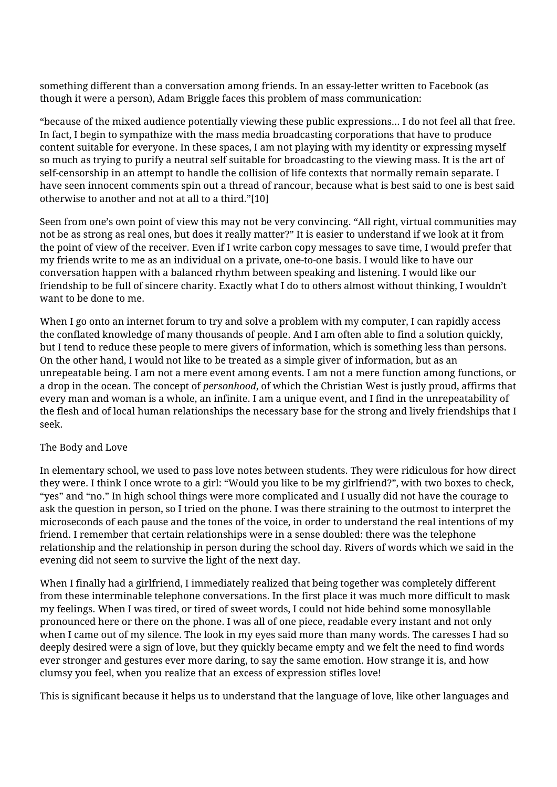something different than a conversation among friends. In an essay-letter written to Facebook (as though it were a person), Adam Briggle faces this problem of mass communication:

"because of the mixed audience potentially viewing these public expressions... I do not feel all that free. In fact, I begin to sympathize with the mass media broadcasting corporations that have to produce content suitable for everyone. In these spaces, I am not playing with my identity or expressing myself so much as trying to purify a neutral self suitable for broadcasting to the viewing mass. It is the art of self-censorship in an attempt to handle the collision of life contexts that normally remain separate. I have seen innocent comments spin out a thread of rancour, because what is best said to one is best said otherwise to another and not at all to a third."[10]

Seen from one's own point of view this may not be very convincing. "All right, virtual communities may not be as strong as real ones, but does it really matter?" It is easier to understand if we look at it from the point of view of the receiver. Even if I write carbon copy messages to save time, I would prefer that my friends write to me as an individual on a private, one-to-one basis. I would like to have our conversation happen with a balanced rhythm between speaking and listening. I would like our friendship to be full of sincere charity. Exactly what I do to others almost without thinking, I wouldn't want to be done to me.

When I go onto an internet forum to try and solve a problem with my computer, I can rapidly access the conflated knowledge of many thousands of people. And I am often able to find a solution quickly, but I tend to reduce these people to mere givers of information, which is something less than persons. On the other hand, I would not like to be treated as a simple giver of information, but as an unrepeatable being. I am not a mere event among events. I am not a mere function among functions, or a drop in the ocean. The concept of *personhood*, of which the Christian West is justly proud, affirms that every man and woman is a whole, an infinite. I am a unique event, and I find in the unrepeatability of the flesh and of local human relationships the necessary base for the strong and lively friendships that I seek.

### The Body and Love

In elementary school, we used to pass love notes between students. They were ridiculous for how direct they were. I think I once wrote to a girl: "Would you like to be my girlfriend?", with two boxes to check, "yes" and "no." In high school things were more complicated and I usually did not have the courage to ask the question in person, so I tried on the phone. I was there straining to the outmost to interpret the microseconds of each pause and the tones of the voice, in order to understand the real intentions of my friend. I remember that certain relationships were in a sense doubled: there was the telephone relationship and the relationship in person during the school day. Rivers of words which we said in the evening did not seem to survive the light of the next day.

When I finally had a girlfriend, I immediately realized that being together was completely different from these interminable telephone conversations. In the first place it was much more difficult to mask my feelings. When I was tired, or tired of sweet words, I could not hide behind some monosyllable pronounced here or there on the phone. I was all of one piece, readable every instant and not only when I came out of my silence. The look in my eyes said more than many words. The caresses I had so deeply desired were a sign of love, but they quickly became empty and we felt the need to find words ever stronger and gestures ever more daring, to say the same emotion. How strange it is, and how clumsy you feel, when you realize that an excess of expression stifles love!

This is significant because it helps us to understand that the language of love, like other languages and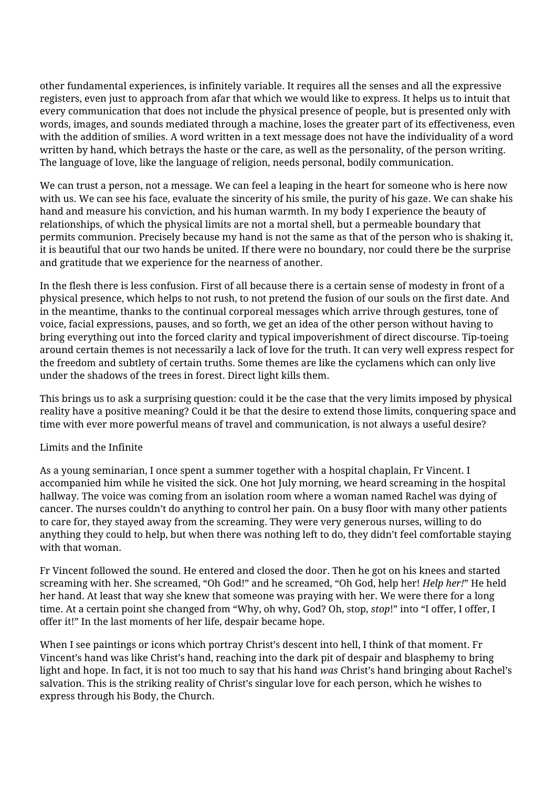other fundamental experiences, is infinitely variable. It requires all the senses and all the expressive registers, even just to approach from afar that which we would like to express. It helps us to intuit that every communication that does not include the physical presence of people, but is presented only with words, images, and sounds mediated through a machine, loses the greater part of its effectiveness, even with the addition of smilies. A word written in a text message does not have the individuality of a word written by hand, which betrays the haste or the care, as well as the personality, of the person writing. The language of love, like the language of religion, needs personal, bodily communication.

We can trust a person, not a message. We can feel a leaping in the heart for someone who is here now with us. We can see his face, evaluate the sincerity of his smile, the purity of his gaze. We can shake his hand and measure his conviction, and his human warmth. In my body I experience the beauty of relationships, of which the physical limits are not a mortal shell, but a permeable boundary that permits communion. Precisely because my hand is not the same as that of the person who is shaking it, it is beautiful that our two hands be united. If there were no boundary, nor could there be the surprise and gratitude that we experience for the nearness of another.

In the flesh there is less confusion. First of all because there is a certain sense of modesty in front of a physical presence, which helps to not rush, to not pretend the fusion of our souls on the first date. And in the meantime, thanks to the continual corporeal messages which arrive through gestures, tone of voice, facial expressions, pauses, and so forth, we get an idea of the other person without having to bring everything out into the forced clarity and typical impoverishment of direct discourse. Tip-toeing around certain themes is not necessarily a lack of love for the truth. It can very well express respect for the freedom and subtlety of certain truths. Some themes are like the cyclamens which can only live under the shadows of the trees in forest. Direct light kills them.

This brings us to ask a surprising question: could it be the case that the very limits imposed by physical reality have a positive meaning? Could it be that the desire to extend those limits, conquering space and time with ever more powerful means of travel and communication, is not always a useful desire?

### Limits and the Infinite

As a young seminarian, I once spent a summer together with a hospital chaplain, Fr Vincent. I accompanied him while he visited the sick. One hot July morning, we heard screaming in the hospital hallway. The voice was coming from an isolation room where a woman named Rachel was dying of cancer. The nurses couldn't do anything to control her pain. On a busy floor with many other patients to care for, they stayed away from the screaming. They were very generous nurses, willing to do anything they could to help, but when there was nothing left to do, they didn't feel comfortable staying with that woman.

Fr Vincent followed the sound. He entered and closed the door. Then he got on his knees and started screaming with her. She screamed, "Oh God!" and he screamed, "Oh God, help her! *Help her!*" He held her hand. At least that way she knew that someone was praying with her. We were there for a long time. At a certain point she changed from "Why, oh why, God? Oh, stop, *stop*!" into "I offer, I offer, I offer it!" In the last moments of her life, despair became hope.

When I see paintings or icons which portray Christ's descent into hell, I think of that moment. Fr Vincent's hand was like Christ's hand, reaching into the dark pit of despair and blasphemy to bring light and hope. In fact, it is not too much to say that his hand *was* Christ's hand bringing about Rachel's salvation. This is the striking reality of Christ's singular love for each person, which he wishes to express through his Body, the Church.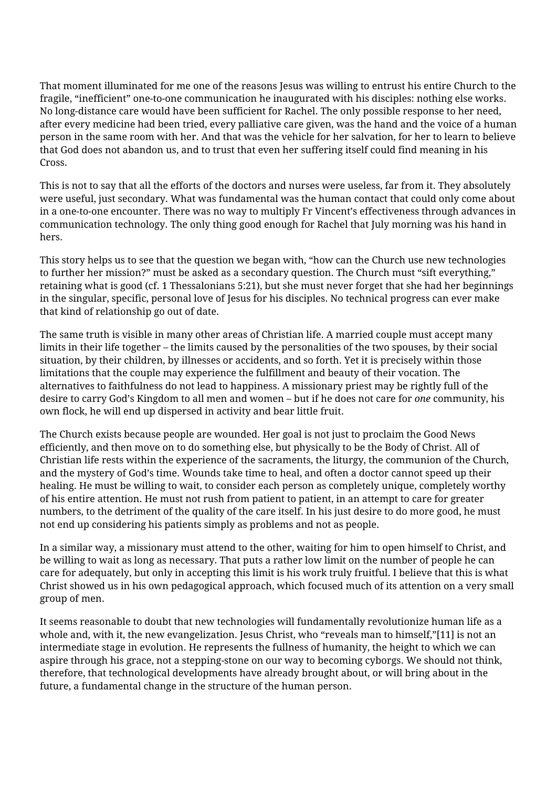That moment illuminated for me one of the reasons Jesus was willing to entrust his entire Church to the fragile, "inefficient" one-to-one communication he inaugurated with his disciples: nothing else works. No long-distance care would have been sufficient for Rachel. The only possible response to her need, after every medicine had been tried, every palliative care given, was the hand and the voice of a human person in the same room with her. And that was the vehicle for her salvation, for her to learn to believe that God does not abandon us, and to trust that even her suffering itself could find meaning in his Cross.

This is not to say that all the efforts of the doctors and nurses were useless, far from it. They absolutely were useful, just secondary. What was fundamental was the human contact that could only come about in a one-to-one encounter. There was no way to multiply Fr Vincent's effectiveness through advances in communication technology. The only thing good enough for Rachel that July morning was his hand in hers.

This story helps us to see that the question we began with, "how can the Church use new technologies to further her mission?" must be asked as a secondary question. The Church must "sift everything," retaining what is good (cf. 1 Thessalonians 5:21), but she must never forget that she had her beginnings in the singular, specific, personal love of Jesus for his disciples. No technical progress can ever make that kind of relationship go out of date.

The same truth is visible in many other areas of Christian life. A married couple must accept many limits in their life together – the limits caused by the personalities of the two spouses, by their social situation, by their children, by illnesses or accidents, and so forth. Yet it is precisely within those limitations that the couple may experience the fulfillment and beauty of their vocation. The alternatives to faithfulness do not lead to happiness. A missionary priest may be rightly full of the desire to carry God's Kingdom to all men and women – but if he does not care for *one* community, his own flock, he will end up dispersed in activity and bear little fruit.

The Church exists because people are wounded. Her goal is not just to proclaim the Good News efficiently, and then move on to do something else, but physically to be the Body of Christ. All of Christian life rests within the experience of the sacraments, the liturgy, the communion of the Church, and the mystery of God's time. Wounds take time to heal, and often a doctor cannot speed up their healing. He must be willing to wait, to consider each person as completely unique, completely worthy of his entire attention. He must not rush from patient to patient, in an attempt to care for greater numbers, to the detriment of the quality of the care itself. In his just desire to do more good, he must not end up considering his patients simply as problems and not as people.

In a similar way, a missionary must attend to the other, waiting for him to open himself to Christ, and be willing to wait as long as necessary. That puts a rather low limit on the number of people he can care for adequately, but only in accepting this limit is his work truly fruitful. I believe that this is what Christ showed us in his own pedagogical approach, which focused much of its attention on a very small group of men.

It seems reasonable to doubt that new technologies will fundamentally revolutionize human life as a whole and, with it, the new evangelization. Jesus Christ, who "reveals man to himself,"[11] is not an intermediate stage in evolution. He represents the fullness of humanity, the height to which we can aspire through his grace, not a stepping-stone on our way to becoming cyborgs. We should not think, therefore, that technological developments have already brought about, or will bring about in the future, a fundamental change in the structure of the human person.